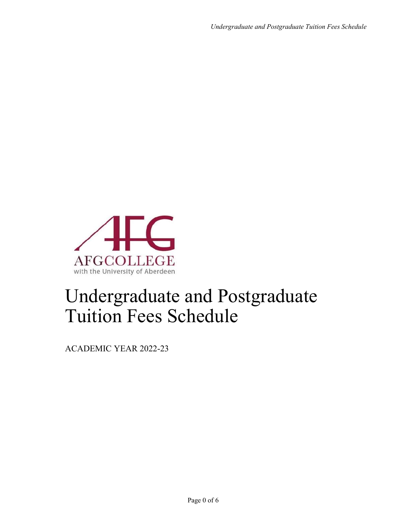

# Undergraduate and Postgraduate Tuition Fees Schedule

ACADEMIC YEAR 2022-23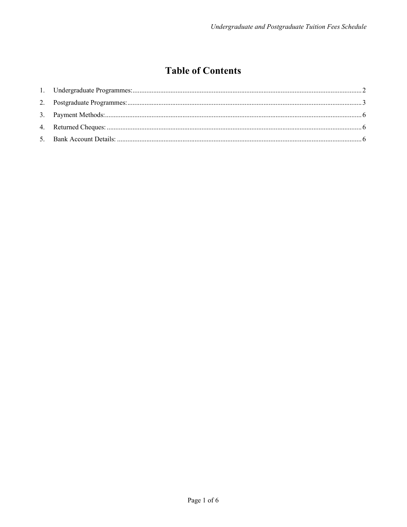# **Table of Contents**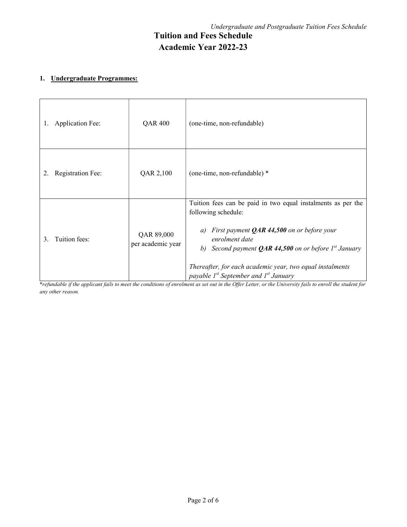# 1. Undergraduate Programmes:

| <b>Application Fee:</b><br>1. | <b>QAR 400</b>                  | (one-time, non-refundable)                                                                                                                                                                                                                                                                                                                       |
|-------------------------------|---------------------------------|--------------------------------------------------------------------------------------------------------------------------------------------------------------------------------------------------------------------------------------------------------------------------------------------------------------------------------------------------|
| <b>Registration Fee:</b>      | QAR 2,100                       | (one-time, non-refundable) *                                                                                                                                                                                                                                                                                                                     |
| Tuition fees:<br>3.           | QAR 89,000<br>per academic year | Tuition fees can be paid in two equal instalments as per the<br>following schedule:<br>First payment $QAR$ 44,500 on or before your<br>a)<br>enrolment date<br>b) Second payment <b>QAR 44,500</b> on or before $I^{st}$ January<br>Thereafter, for each academic year, two equal instalments<br>payable $I^{st}$ September and $I^{st}$ January |

\*refundable if the applicant fails to meet the conditions of enrolment as set out in the Offer Letter, or the University fails to enroll the student for any other reason.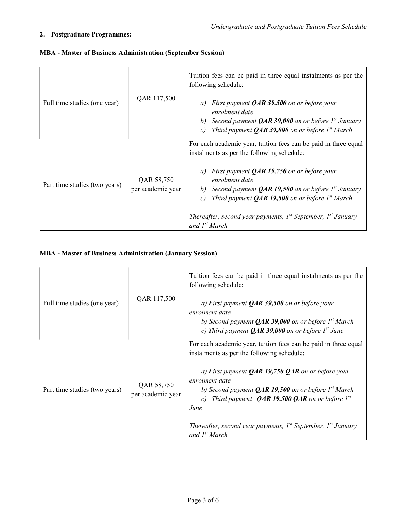# 2. Postgraduate Programmes:

|                               | QAR 117,500                     | Tuition fees can be paid in three equal instalments as per the<br>following schedule:                                                                                                                    |
|-------------------------------|---------------------------------|----------------------------------------------------------------------------------------------------------------------------------------------------------------------------------------------------------|
| Full time studies (one year)  |                                 | First payment $QAR$ 39,500 on or before your<br>a)<br>enrolment date<br>b) Second payment <b>QAR 39,000</b> on or before $Ist$ January<br>Third payment <b>QAR 39,000</b> on or before $Ist March$<br>c) |
|                               |                                 | For each academic year, tuition fees can be paid in three equal<br>instalments as per the following schedule:                                                                                            |
| Part time studies (two years) | QAR 58,750<br>per academic year | First payment $QAR$ 19,750 on or before your<br>a)<br>enrolment date<br>b) Second payment <b>QAR 19,500</b> on or before $Ist$ January<br>Third payment <b>QAR 19,500</b> on or before $Ist March$<br>c) |
|                               |                                 | Thereafter, second year payments, $I^{st}$ September, $I^{st}$ January<br>and 1 <sup>st</sup> March                                                                                                      |

### MBA - Master of Business Administration (September Session)

# MBA - Master of Business Administration (January Session)

| Full time studies (one year)  | QAR 117,500                     | Tuition fees can be paid in three equal instalments as per the<br>following schedule:<br>a) First payment $QAR$ 39,500 on or before your<br>enrolment date<br>b) Second payment <b>QAR 39,000</b> on or before $Ist March$<br>c) Third payment <b>QAR 39,000</b> on or before $Ist$ June                                                                                                                                            |
|-------------------------------|---------------------------------|-------------------------------------------------------------------------------------------------------------------------------------------------------------------------------------------------------------------------------------------------------------------------------------------------------------------------------------------------------------------------------------------------------------------------------------|
| Part time studies (two years) | QAR 58,750<br>per academic year | For each academic year, tuition fees can be paid in three equal<br>instalments as per the following schedule:<br>a) First payment <b>QAR 19,750 QAR</b> on or before your<br>enrolment date<br>b) Second payment <b>QAR 19,500</b> on or before $Ist March$<br>c) Third payment <b>QAR 19,500 QAR</b> on or before $I^{st}$<br>June<br>Thereafter, second year payments, $I^{st}$ September, $I^{st}$ January<br>and $I^{st}$ March |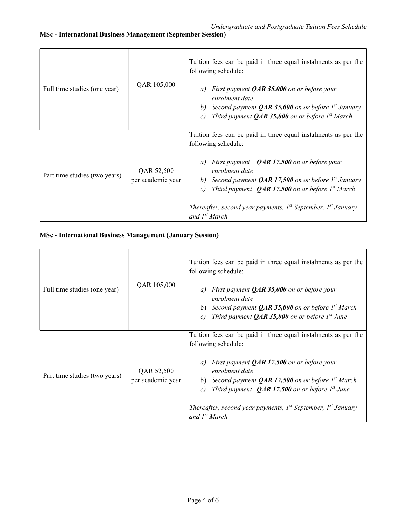| Full time studies (one year)  | QAR 105,000                     | Tuition fees can be paid in three equal instalments as per the<br>following schedule:<br>First payment $QAR$ 35,000 on or before your<br>a)<br>enrolment date<br>b) Second payment <b>QAR 35,000</b> on or before $Ist$ January<br>Third payment <b>QAR 35,000</b> on or before $Ist March$<br>$\mathcal{C}$                                                                                 |
|-------------------------------|---------------------------------|----------------------------------------------------------------------------------------------------------------------------------------------------------------------------------------------------------------------------------------------------------------------------------------------------------------------------------------------------------------------------------------------|
| Part time studies (two years) | QAR 52,500<br>per academic year | Tuition fees can be paid in three equal instalments as per the<br>following schedule:<br>First payment $QAR$ 17,500 on or before your<br>a)<br>enrolment date<br>b) Second payment <b>QAR 17,500</b> on or before $Ist$ January<br>Third payment $QAR$ 17,500 on or before $Ist March$<br>c)<br>Thereafter, second year payments, $I^{st}$ September, $I^{st}$ January<br>and $I^{st}$ March |

## MSc - International Business Management (January Session)

| Full time studies (one year)  | QAR 105,000                     | Tuition fees can be paid in three equal instalments as per the<br>following schedule:<br>First payment $QAR$ 35,000 on or before your<br>a)<br>enrolment date<br>b) Second payment <b>QAR 35,000</b> on or before $Ist March$<br>Third payment $QAR$ 35,000 on or before $Ist$ June<br>c)                                                                                                     |
|-------------------------------|---------------------------------|-----------------------------------------------------------------------------------------------------------------------------------------------------------------------------------------------------------------------------------------------------------------------------------------------------------------------------------------------------------------------------------------------|
| Part time studies (two years) | QAR 52,500<br>per academic year | Tuition fees can be paid in three equal instalments as per the<br>following schedule:<br>a) First payment $QAR$ 17,500 on or before your<br>enrolment date<br>b) Second payment <b>QAR 17,500</b> on or before $Ist March$<br>Third payment $QAR$ 17,500 on or before $Ist$ June<br>c)<br>Thereafter, second year payments, $I^{st}$ September, $I^{st}$ January<br>and 1 <sup>st</sup> March |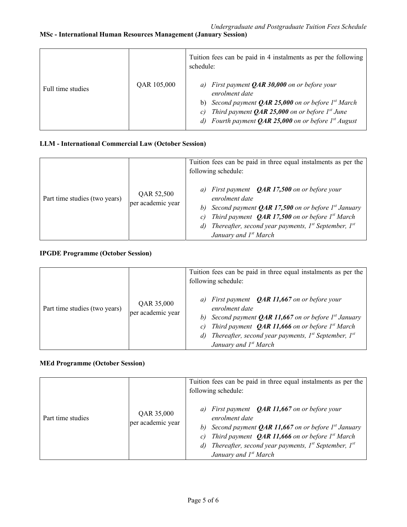### MSc - International Human Resources Management (January Session)

|                   |             | Tuition fees can be paid in 4 instalments as per the following<br>schedule:                                                                                                                                                                                                        |
|-------------------|-------------|------------------------------------------------------------------------------------------------------------------------------------------------------------------------------------------------------------------------------------------------------------------------------------|
| Full time studies | QAR 105,000 | First payment $QAR 30,000$ on or before your<br>a)<br>enrolment date<br>b) Second payment <b>QAR 25,000</b> on or before $Ist March$<br>Third payment $QAR$ 25,000 on or before $Ist$ June<br>$\mathcal{C}$<br>Fourth payment <b>QAR 25,000</b> on or before $I^{st}$ August<br>d) |

### LLM - International Commercial Law (October Session)

|                               |                                 | Tuition fees can be paid in three equal instalments as per the<br>following schedule:                                                                                                                                                                                                                            |
|-------------------------------|---------------------------------|------------------------------------------------------------------------------------------------------------------------------------------------------------------------------------------------------------------------------------------------------------------------------------------------------------------|
| Part time studies (two years) | QAR 52,500<br>per academic year | a) First payment $QAR$ 17,500 on or before your<br>enrolment date<br>Second payment <b>QAR 17,500</b> on or before $Ist$ January<br>b)<br>Third payment $QAR$ 17,500 on or before $Ist March$<br>C)<br>Thereafter, second year payments, $I^{st}$ September, $I^{st}$<br>d)<br>January and 1 <sup>st</sup> March |

#### IPGDE Programme (October Session)

|                               |                                 | Tuition fees can be paid in three equal instalments as per the<br>following schedule:                                                                                                                                                                                                                                  |
|-------------------------------|---------------------------------|------------------------------------------------------------------------------------------------------------------------------------------------------------------------------------------------------------------------------------------------------------------------------------------------------------------------|
| Part time studies (two years) | QAR 35,000<br>per academic year | First payment $QAR$ 11,667 on or before your<br>a)<br>enrolment date<br>Second payment <b>QAR 11,667</b> on or before $I^{st}$ January<br>b)<br>Third payment $QAR$ 11,666 on or before $Ist March$<br>C)<br>Thereafter, second year payments, $I^{st}$ September, $I^{st}$<br>d)<br>January and 1 <sup>st</sup> March |

### MEd Programme (October Session)

|                   |                                 | Tuition fees can be paid in three equal instalments as per the<br>following schedule:                                                                                                                                                                                                                                    |
|-------------------|---------------------------------|--------------------------------------------------------------------------------------------------------------------------------------------------------------------------------------------------------------------------------------------------------------------------------------------------------------------------|
| Part time studies | QAR 35,000<br>per academic year | a) First payment $QAR$ 11,667 on or before your<br>enrolment date<br>b) Second payment <b>QAR 11,667</b> on or before $I^{st}$ January<br>Third payment $QAR$ 11,666 on or before $Ist March$<br>$\mathcal{C}$<br>d) Thereafter, second year payments, $I^{st}$ September, $I^{st}$<br>January and 1 <sup>st</sup> March |